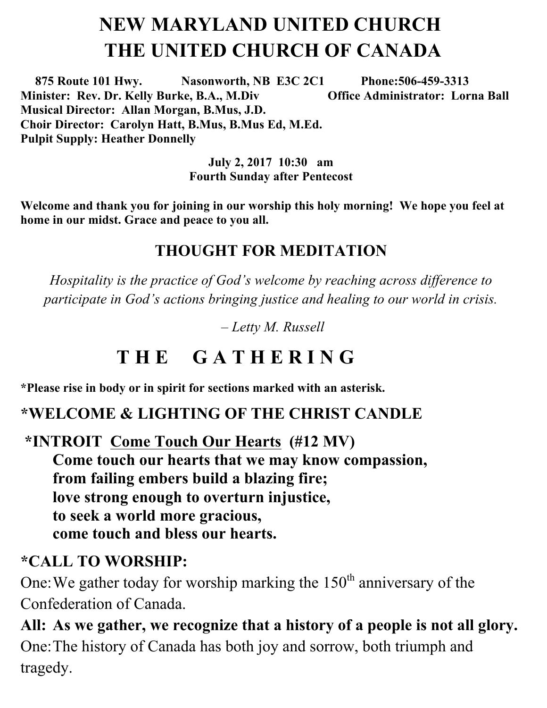# **NEW MARYLAND UNITED CHURCH THE UNITED CHURCH OF CANADA**

 **875 Route 101 Hwy. Nasonworth, NB E3C 2C1 Phone:506-459-3313 Minister: Rev. Dr. Kelly Burke, B.A., M.Div Office Administrator: Lorna Ball Musical Director: Allan Morgan, B.Mus, J.D. Choir Director: Carolyn Hatt, B.Mus, B.Mus Ed, M.Ed. Pulpit Supply: Heather Donnelly** 

> **July 2, 2017 10:30 am Fourth Sunday after Pentecost**

**Welcome and thank you for joining in our worship this holy morning! We hope you feel at home in our midst. Grace and peace to you all.**

#### **THOUGHT FOR MEDITATION**

*Hospitality is the practice of God's welcome by reaching across difference to participate in God's actions bringing justice and healing to our world in crisis.*

*– Letty M. Russell*

## **T H E G A T H E R I N G**

**\*Please rise in body or in spirit for sections marked with an asterisk.**

#### **\*WELCOME & LIGHTING OF THE CHRIST CANDLE**

**\*INTROIT Come Touch Our Hearts (#12 MV) Come touch our hearts that we may know compassion, from failing embers build a blazing fire; love strong enough to overturn injustice, to seek a world more gracious, come touch and bless our hearts.**

#### **\*CALL TO WORSHIP:**

One: We gather today for worship marking the  $150<sup>th</sup>$  anniversary of the Confederation of Canada.

**All: As we gather, we recognize that a history of a people is not all glory.**  One:The history of Canada has both joy and sorrow, both triumph and tragedy.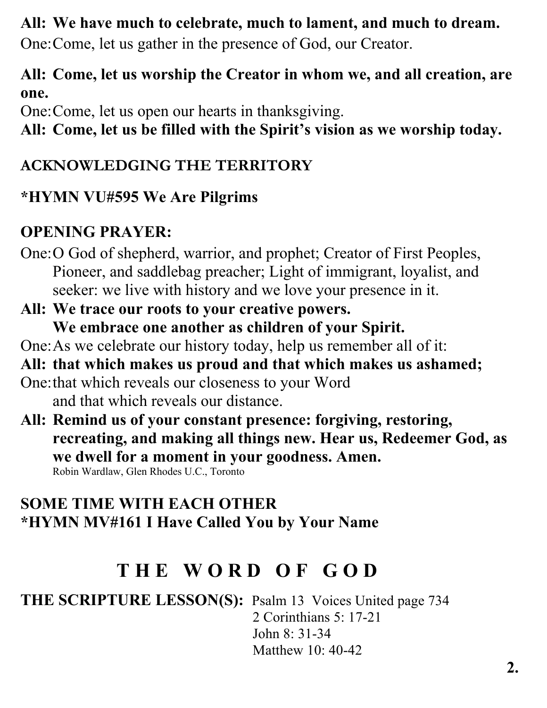#### **All: We have much to celebrate, much to lament, and much to dream.**

One:Come, let us gather in the presence of God, our Creator.

#### **All: Come, let us worship the Creator in whom we, and all creation, are one.**

One:Come, let us open our hearts in thanksgiving.

**All: Come, let us be filled with the Spirit's vision as we worship today.** 

#### **ACKNOWLEDGING THE TERRITORY**

#### **\*HYMN VU#595 We Are Pilgrims**

## **OPENING PRAYER:**

- One:O God of shepherd, warrior, and prophet; Creator of First Peoples, Pioneer, and saddlebag preacher; Light of immigrant, loyalist, and seeker: we live with history and we love your presence in it.
- **All: We trace our roots to your creative powers. We embrace one another as children of your Spirit.**
- One:As we celebrate our history today, help us remember all of it:

#### **All: that which makes us proud and that which makes us ashamed;**

- One:that which reveals our closeness to your Word and that which reveals our distance.
- **All: Remind us of your constant presence: forgiving, restoring, recreating, and making all things new. Hear us, Redeemer God, as we dwell for a moment in your goodness. Amen.**

Robin Wardlaw, Glen Rhodes U.C., Toronto

## **SOME TIME WITH EACH OTHER \*HYMN MV#161 I Have Called You by Your Name**

## **T H E W O R D O F G O D**

**THE SCRIPTURE LESSON(S):** Psalm 13 Voices United page 734 2 Corinthians 5: 17-21 John 8: 31-34 Matthew 10: 40-42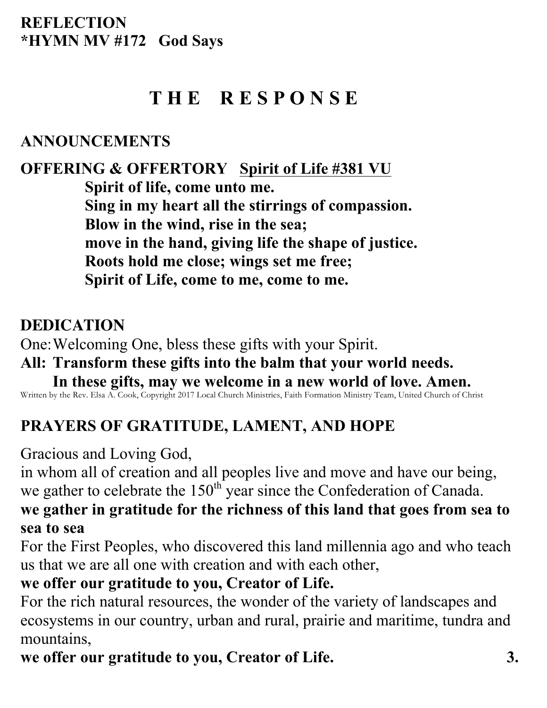## **T H E R E S P O N S E**

#### **ANNOUNCEMENTS**

**OFFERING & OFFERTORY Spirit of Life #381 VU Spirit of life, come unto me. Sing in my heart all the stirrings of compassion. Blow in the wind, rise in the sea; move in the hand, giving life the shape of justice. Roots hold me close; wings set me free; Spirit of Life, come to me, come to me.**

#### **DEDICATION**

One:Welcoming One, bless these gifts with your Spirit.

## **All: Transform these gifts into the balm that your world needs.**

**In these gifts, may we welcome in a new world of love. Amen.** Written by the Rev. Elsa A. Cook, Copyright 2017 Local Church Ministries, Faith Formation Ministry Team, United Church of Christ

## **PRAYERS OF GRATITUDE, LAMENT, AND HOPE**

Gracious and Loving God,

in whom all of creation and all peoples live and move and have our being, we gather to celebrate the  $150<sup>th</sup>$  year since the Confederation of Canada.

#### **we gather in gratitude for the richness of this land that goes from sea to sea to sea**

For the First Peoples, who discovered this land millennia ago and who teach us that we are all one with creation and with each other,

#### **we offer our gratitude to you, Creator of Life.**

For the rich natural resources, the wonder of the variety of landscapes and ecosystems in our country, urban and rural, prairie and maritime, tundra and mountains,

**we offer our gratitude to you, Creator of Life. 3.**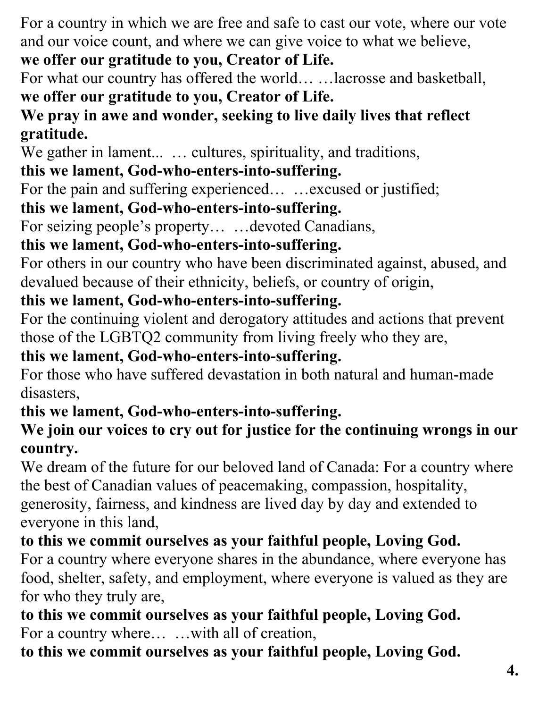For a country in which we are free and safe to cast our vote, where our vote and our voice count, and where we can give voice to what we believe, **we offer our gratitude to you, Creator of Life.**

For what our country has offered the world… …lacrosse and basketball, **we offer our gratitude to you, Creator of Life.**

## **We pray in awe and wonder, seeking to live daily lives that reflect gratitude.**

We gather in lament... ... cultures, spirituality, and traditions,

## **this we lament, God-who-enters-into-suffering.**

For the pain and suffering experienced... ... excused or justified;

#### **this we lament, God-who-enters-into-suffering.**

For seizing people's property… …devoted Canadians,

#### **this we lament, God-who-enters-into-suffering.**

For others in our country who have been discriminated against, abused, and devalued because of their ethnicity, beliefs, or country of origin,

#### **this we lament, God-who-enters-into-suffering.**

For the continuing violent and derogatory attitudes and actions that prevent those of the LGBTQ2 community from living freely who they are,

#### **this we lament, God-who-enters-into-suffering.**

For those who have suffered devastation in both natural and human-made disasters,

## **this we lament, God-who-enters-into-suffering.**

#### **We join our voices to cry out for justice for the continuing wrongs in our country.**

We dream of the future for our beloved land of Canada: For a country where the best of Canadian values of peacemaking, compassion, hospitality, generosity, fairness, and kindness are lived day by day and extended to everyone in this land,

## **to this we commit ourselves as your faithful people, Loving God.**

For a country where everyone shares in the abundance, where everyone has food, shelter, safety, and employment, where everyone is valued as they are for who they truly are,

**to this we commit ourselves as your faithful people, Loving God.** For a country where… …with all of creation,

## **to this we commit ourselves as your faithful people, Loving God.**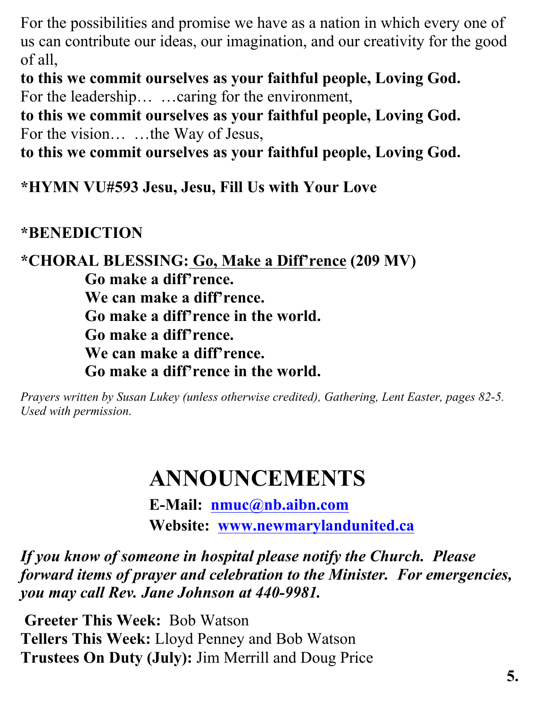For the possibilities and promise we have as a nation in which every one of us can contribute our ideas, our imagination, and our creativity for the good of all,

**to this we commit ourselves as your faithful people, Loving God.** For the leadership… …caring for the environment,

**to this we commit ourselves as your faithful people, Loving God.** For the vision… …the Way of Jesus,

**to this we commit ourselves as your faithful people, Loving God.**

**\*HYMN VU#593 Jesu, Jesu, Fill Us with Your Love** 

#### **\*BENEDICTION**

**\*CHORAL BLESSING: Go, Make a Diff'rence (209 MV) Go make a diff'rence. We can make a diff'rence. Go make a diff'rence in the world. Go make a diff'rence. We can make a diff'rence. Go make a diff'rence in the world.**

*Prayers written by Susan Lukey (unless otherwise credited), Gathering, Lent Easter, pages 82-5. Used with permission.* 

# **ANNOUNCEMENTS**

**E-Mail: nmuc@nb.aibn.com Website: www.newmarylandunited.ca**

*If you know of someone in hospital please notify the Church. Please forward items of prayer and celebration to the Minister. For emergencies, you may call Rev. Jane Johnson at 440-9981.*

**Greeter This Week:** Bob Watson **Tellers This Week:** Lloyd Penney and Bob Watson **Trustees On Duty (July):** Jim Merrill and Doug Price